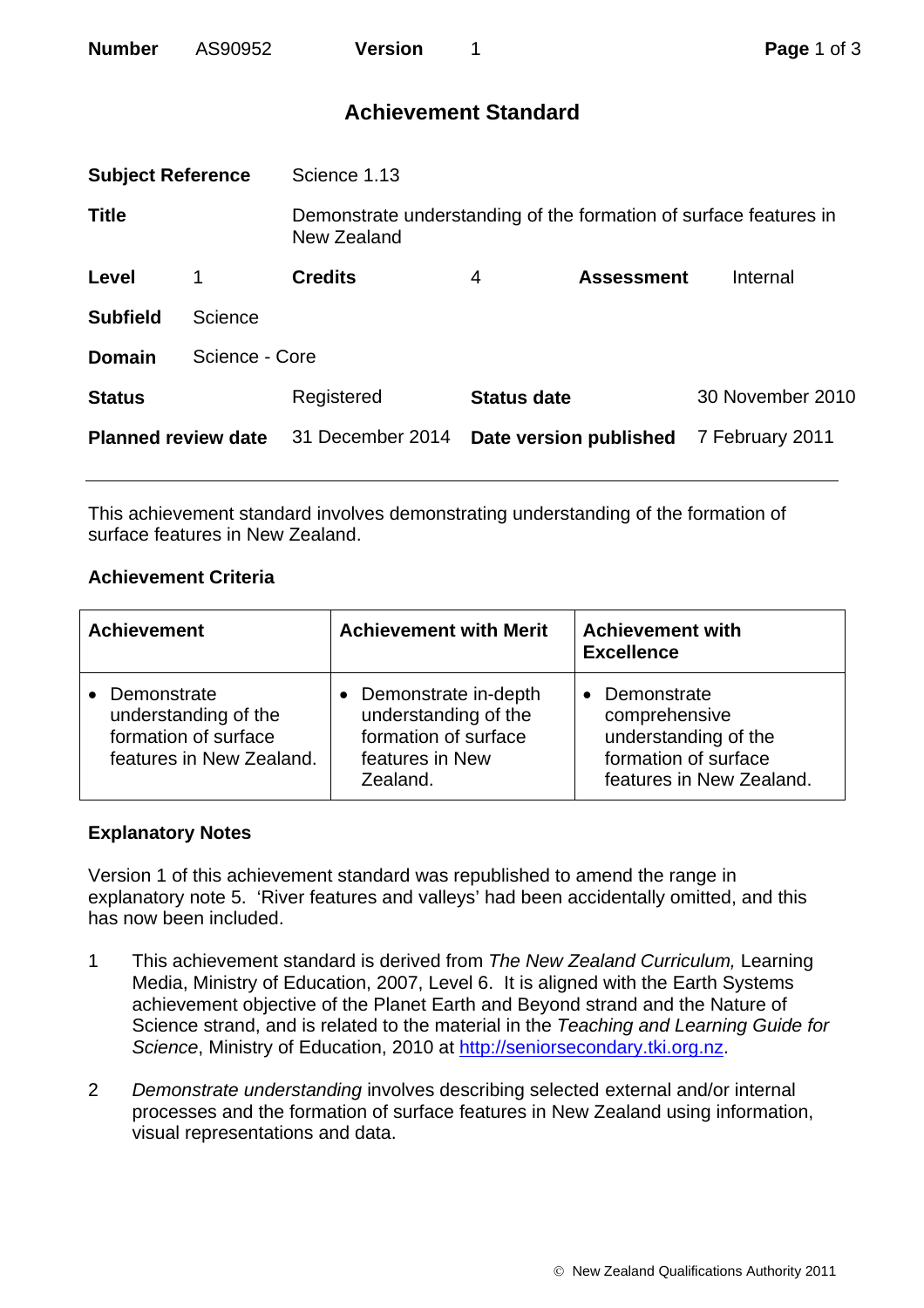| <b>Number</b> | AS90952 | <b>Version</b> |
|---------------|---------|----------------|
|               |         |                |

# **Achievement Standard**

| <b>Subject Reference</b>   |                | Science 1.13                                                                     |                    |                        |                  |
|----------------------------|----------------|----------------------------------------------------------------------------------|--------------------|------------------------|------------------|
| <b>Title</b>               |                | Demonstrate understanding of the formation of surface features in<br>New Zealand |                    |                        |                  |
| Level                      |                | <b>Credits</b>                                                                   | 4                  | <b>Assessment</b>      | Internal         |
| <b>Subfield</b>            | Science        |                                                                                  |                    |                        |                  |
| <b>Domain</b>              | Science - Core |                                                                                  |                    |                        |                  |
| <b>Status</b>              |                | Registered                                                                       | <b>Status date</b> |                        | 30 November 2010 |
| <b>Planned review date</b> |                | 31 December 2014                                                                 |                    | Date version published | 7 February 2011  |
|                            |                |                                                                                  |                    |                        |                  |

This achievement standard involves demonstrating understanding of the formation of surface features in New Zealand.

## **Achievement Criteria**

| <b>Achievement</b>                                                                        | <b>Achievement with Merit</b>                                                                       | <b>Achievement with</b><br><b>Excellence</b>                                                             |  |
|-------------------------------------------------------------------------------------------|-----------------------------------------------------------------------------------------------------|----------------------------------------------------------------------------------------------------------|--|
| • Demonstrate<br>understanding of the<br>formation of surface<br>features in New Zealand. | Demonstrate in-depth<br>understanding of the<br>formation of surface<br>features in New<br>Zealand. | Demonstrate<br>comprehensive<br>understanding of the<br>formation of surface<br>features in New Zealand. |  |

### **Explanatory Notes**

Version 1 of this achievement standard was republished to amend the range in explanatory note 5. 'River features and valleys' had been accidentally omitted, and this has now been included.

- 1 This achievement standard is derived from *The New Zealand Curriculum,* Learning Media, Ministry of Education, 2007, Level 6. It is aligned with the Earth Systems achievement objective of the Planet Earth and Beyond strand and the Nature of Science strand, and is related to the material in the *Teaching and Learning Guide for Science*, Ministry of Education, 2010 at [http://seniorsecondary.tki.org.nz.](http://seniorsecondary.tki.org.nz/)
- 2 *Demonstrate understanding* involves describing selected external and/or internal processes and the formation of surface features in New Zealand using information, visual representations and data.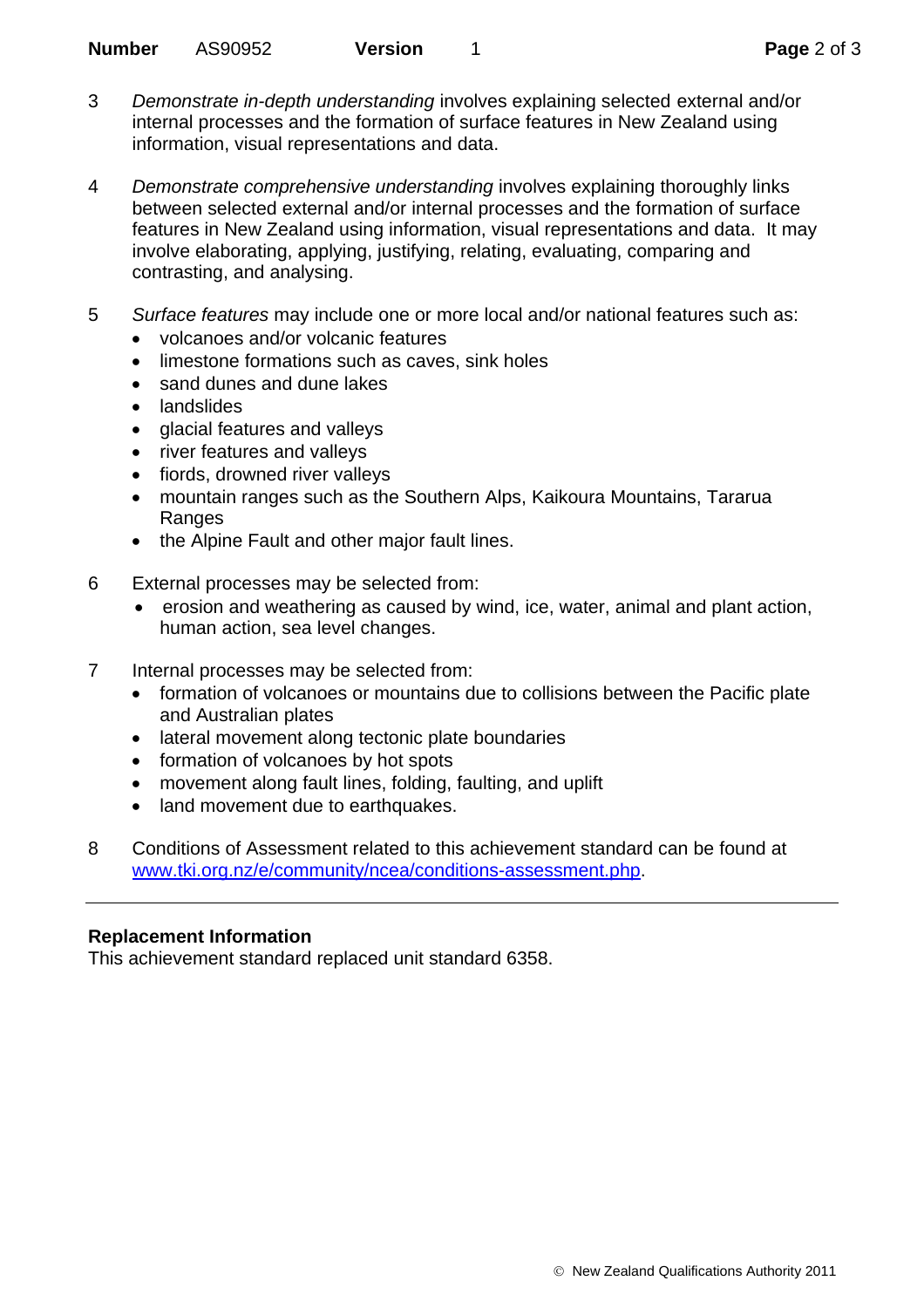- 3 *Demonstrate in-depth understanding* involves explaining selected external and/or internal processes and the formation of surface features in New Zealand using information, visual representations and data.
- 4 *Demonstrate comprehensive understanding* involves explaining thoroughly links between selected external and/or internal processes and the formation of surface features in New Zealand using information, visual representations and data. It may involve elaborating, applying, justifying, relating, evaluating, comparing and contrasting, and analysing.
- 5 *Surface features* may include one or more local and/or national features such as:
	- volcanoes and/or volcanic features
	- limestone formations such as caves, sink holes
	- sand dunes and dune lakes
	- landslides
	- glacial features and valleys
	- river features and valleys
	- fiords, drowned river valleys
	- mountain ranges such as the Southern Alps, Kaikoura Mountains, Tararua Ranges
	- the Alpine Fault and other major fault lines.
- 6 External processes may be selected from:
	- erosion and weathering as caused by wind, ice, water, animal and plant action, human action, sea level changes.
- 7 Internal processes may be selected from:
	- formation of volcanoes or mountains due to collisions between the Pacific plate and Australian plates
	- lateral movement along tectonic plate boundaries
	- formation of volcanoes by hot spots
	- movement along fault lines, folding, faulting, and uplift
	- land movement due to earthquakes.
- 8 Conditions of Assessment related to this achievement standard can be found at [www.tki.org.nz/e/community/ncea/conditions-assessment.php](http://www.tki.org.nz/e/community/ncea/conditions-assessment.php).

### **Replacement Information**

This achievement standard replaced unit standard 6358.